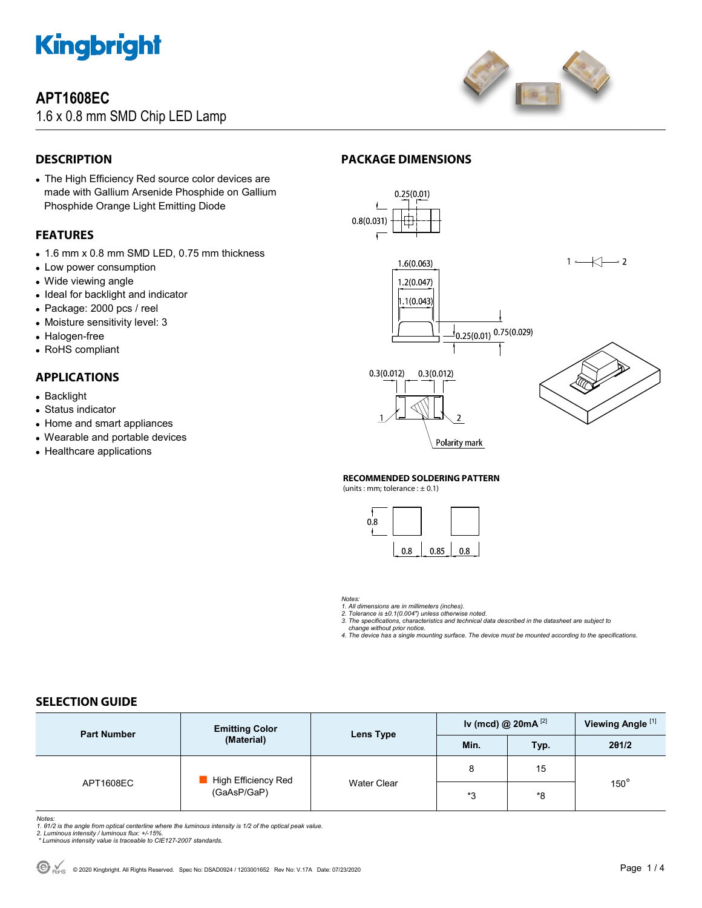

#### **APT1608EC**

1.6 x 0.8 mm SMD Chip LED Lamp



#### **DESCRIPTION**

 The High Efficiency Red source color devices are made with Gallium Arsenide Phosphide on Gallium Phosphide Orange Light Emitting Diode

#### **FEATURES**

- 1.6 mm x 0.8 mm SMD LED, 0.75 mm thickness
- Low power consumption
- Wide viewing angle
- Ideal for backlight and indicator
- Package: 2000 pcs / reel
- Moisture sensitivity level: 3
- Halogen-free
- RoHS compliant

#### **APPLICATIONS**

- Backlight
- Status indicator
- Home and smart appliances
- Wearable and portable devices
- Healthcare applications

#### **PACKAGE DIMENSIONS**



#### **RECOMMENDED SOLDERING PATTERN**

(units : mm; tolerance  $: \pm 0.1$ )



*Notes:* 

*1. All dimensions are in millimeters (inches).* 

- *2. Tolerance is ±0.1(0.004") unless otherwise noted. 3. The specifications, characteristics and technical data described in the datasheet are subject to*
- *change without prior notice. 4. The device has a single mounting surface. The device must be mounted according to the specifications.*

#### **SELECTION GUIDE**

| <b>Part Number</b> | <b>Emitting Color</b><br>(Material) | Lens Type          | Iv (mcd) @ $20mA^{[2]}$ |      | Viewing Angle <sup>[1]</sup> |  |
|--------------------|-------------------------------------|--------------------|-------------------------|------|------------------------------|--|
|                    |                                     |                    | Min.                    | Typ. | 201/2                        |  |
| APT1608EC          | High Efficiency Red<br>(GaAsP/GaP)  | <b>Water Clear</b> | 8                       | 15   |                              |  |
|                    |                                     |                    | *3                      | *8   | $150^\circ$                  |  |

- Notes:<br>1. 61/2 is the angle from optical centerline where the luminous intensity is 1/2 of the optical peak value.<br>2. Luminous intensity / luminous flux: +/-15%.<br>\* Luminous intensity value is traceable to CIE127-2007 stand
- 
-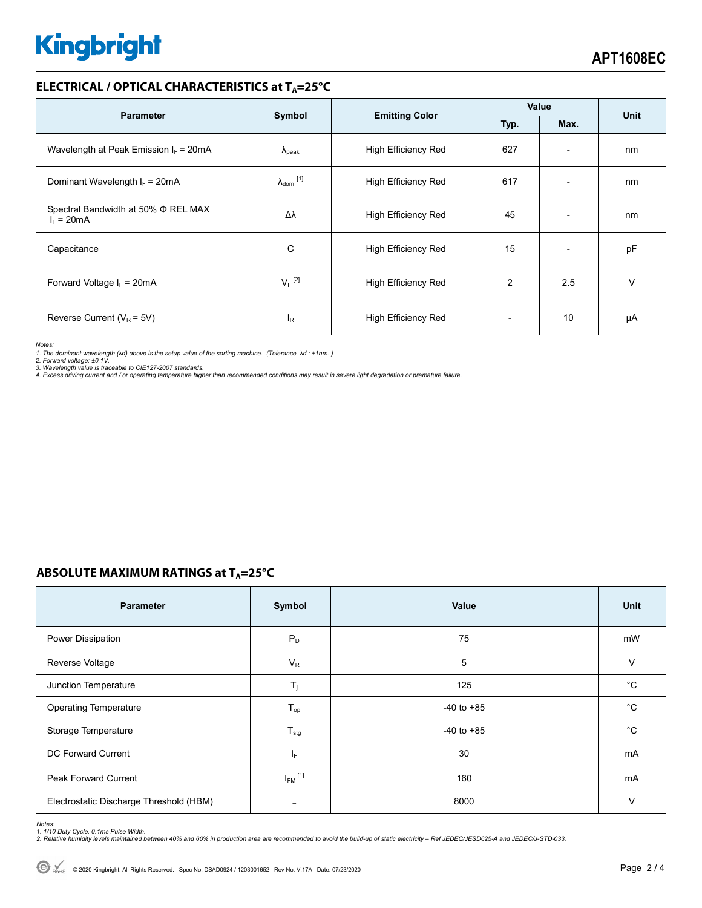# **Kingbright**

#### **ELECTRICAL / OPTICAL CHARACTERISTICS at TA=25°C**

| <b>Parameter</b>                                    | Symbol                     | <b>Emitting Color</b>      | Value          |                          | <b>Unit</b> |
|-----------------------------------------------------|----------------------------|----------------------------|----------------|--------------------------|-------------|
|                                                     |                            |                            | Typ.<br>Max.   |                          |             |
| Wavelength at Peak Emission $I_F$ = 20mA            | $\Lambda_{\rm peak}$       | <b>High Efficiency Red</b> | 627            | $\overline{\phantom{0}}$ | nm          |
| Dominant Wavelength $I_F = 20mA$                    | $\lambda_{\text{dom}}$ [1] | <b>High Efficiency Red</b> | 617            | $\overline{\phantom{0}}$ | nm          |
| Spectral Bandwidth at 50% Φ REL MAX<br>$I_F = 20mA$ | Δλ                         | High Efficiency Red        | 45             | $\overline{\phantom{0}}$ | nm          |
| Capacitance                                         | C                          | <b>High Efficiency Red</b> | 15             |                          | pF          |
| Forward Voltage $I_F$ = 20mA                        | $V_F$ <sup>[2]</sup>       | <b>High Efficiency Red</b> | $\overline{2}$ | 2.5                      | v           |
| Reverse Current ( $V_R$ = 5V)                       | <b>l</b> <sub>R</sub>      | High Efficiency Red        |                | 10                       | μA          |

*Notes:* 

1. The dominant wavelength (λd) above is the setup value of the sorting machine. (Tolerance λd : ±1nm. )<br>2. Forward voltage: ±0.1V.<br>3. Wavelength value is traceable to CIE127-2007 standards.<br>4. Excess driving current and

#### **ABSOLUTE MAXIMUM RATINGS at T<sub>A</sub>=25°C**

| <b>Parameter</b>                        | Symbol                  | Value          | Unit        |
|-----------------------------------------|-------------------------|----------------|-------------|
| Power Dissipation                       | $P_D$                   | 75             | mW          |
| Reverse Voltage                         | $V_R$                   | 5              | $\vee$      |
| Junction Temperature                    | $T_j$                   | 125            | $^{\circ}C$ |
| <b>Operating Temperature</b>            | $T_{op}$                | $-40$ to $+85$ | $^{\circ}C$ |
| Storage Temperature                     | $T_{\text{stg}}$        | $-40$ to $+85$ | $^{\circ}C$ |
| DC Forward Current                      | IF.                     | 30             | mA          |
| Peak Forward Current                    | $I_{FM}$ <sup>[1]</sup> | 160            | mA          |
| Electrostatic Discharge Threshold (HBM) |                         | 8000           | V           |

Notes:<br>1. 1/10 Duty Cycle, 0.1ms Pulse Width.<br>2. Relative humidity levels maintained between 40% and 60% in production area are recommended to avoid the build-up of static electricity – Ref JEDEC/JESD625-A and JEDEC/J-STD-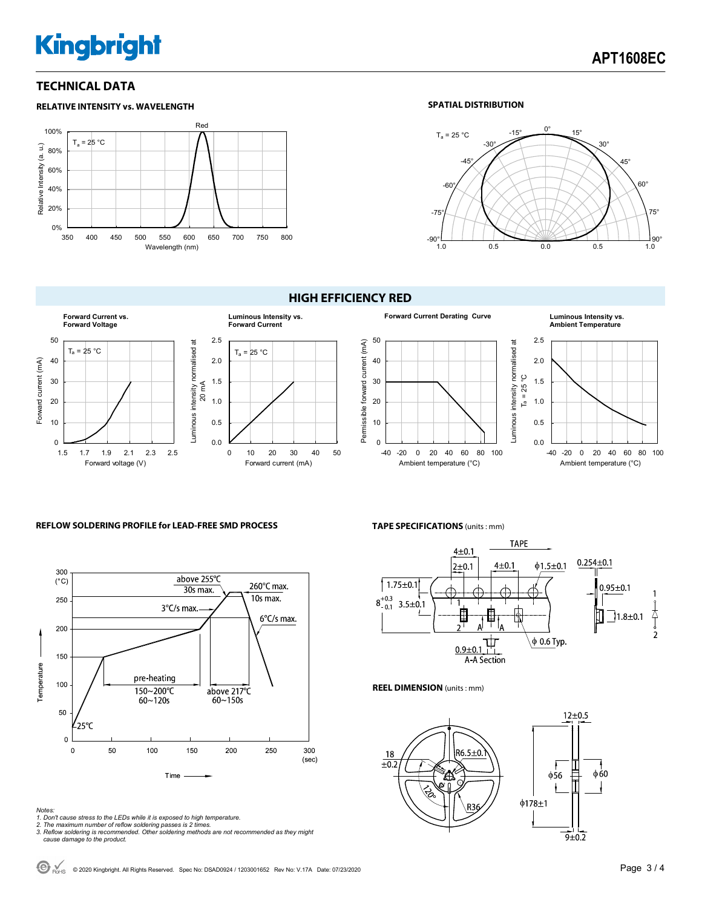## **Kingbright**

#### **TECHNICAL DATA**

#### Red 100% Ta = 25 °C Relative Intensity (a. u.) Relative Intensity (a. u.) 80% 60% 40% 20% 0% 350 400 450 500 550 600 650 700 750 800 Wavelength (nm)

#### **RELATIVE INTENSITY vs. WAVELENGTH SPATIAL DISTRIBUTION**



#### **HIGH EFFICIENCY RED**



#### 50 Permissible forward current (mA) Permissible forward current (mA) 40 30 20 10 0 -40 -20 0 20 40 60 80 100

#### **Forward Current Derating Curve Luminous Intensity vs. Ambient Temperature**



#### **REFLOW SOLDERING PROFILE for LEAD-FREE SMD PROCESS**



- 
- 
- Notes:<br>1. Don't cause stress to the LEDs while it is exposed to high temperature.<br>2. The maximum number of reflow soldering passes is 2 times.<br>3. Reflow soldering is recommended. Other soldering methods are not recommended

#### **TAPE SPECIFICATIONS** (units : mm)

Ambient temperature (°C)



#### **REEL DIMENSION** (units : mm)

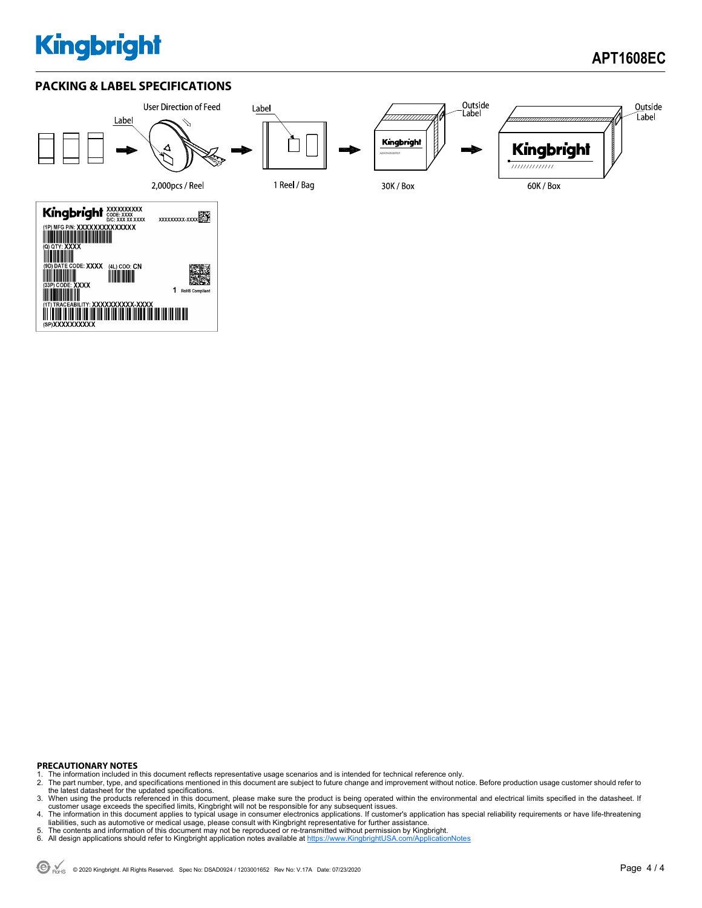### **Kingbright**

### **APT1608EC**

#### **PACKING & LABEL SPECIFICATIONS**



#### **PRECAUTIONARY NOTES**

- 1. The information included in this document reflects representative usage scenarios and is intended for technical reference only.<br>2. The part number, type, and specifications mentioned in this document are subject to futu
- 2. The part number, type, and specifications mentioned in this document are subject to future change and improvement without notice. Before production usage customer should refer to<br>the latest datasheet for the updated spe
- 3. When using the products referenced in this document, please make sure the product is being operated within the environmental and electrical limits specified in the datasheet. If customer usage exceeds the specified limits, Kingbright will not be responsible for any subsequent issues.<br>4. The information in this document applies to typical usage in consumer electronics applications. If customer's ap
- 
- liabilities, such as automotive or medical usage, please consult with Kingbright representative for further assistance.<br>5. The contents and information of this document may not be reproduced or re-transmitted without perm
-